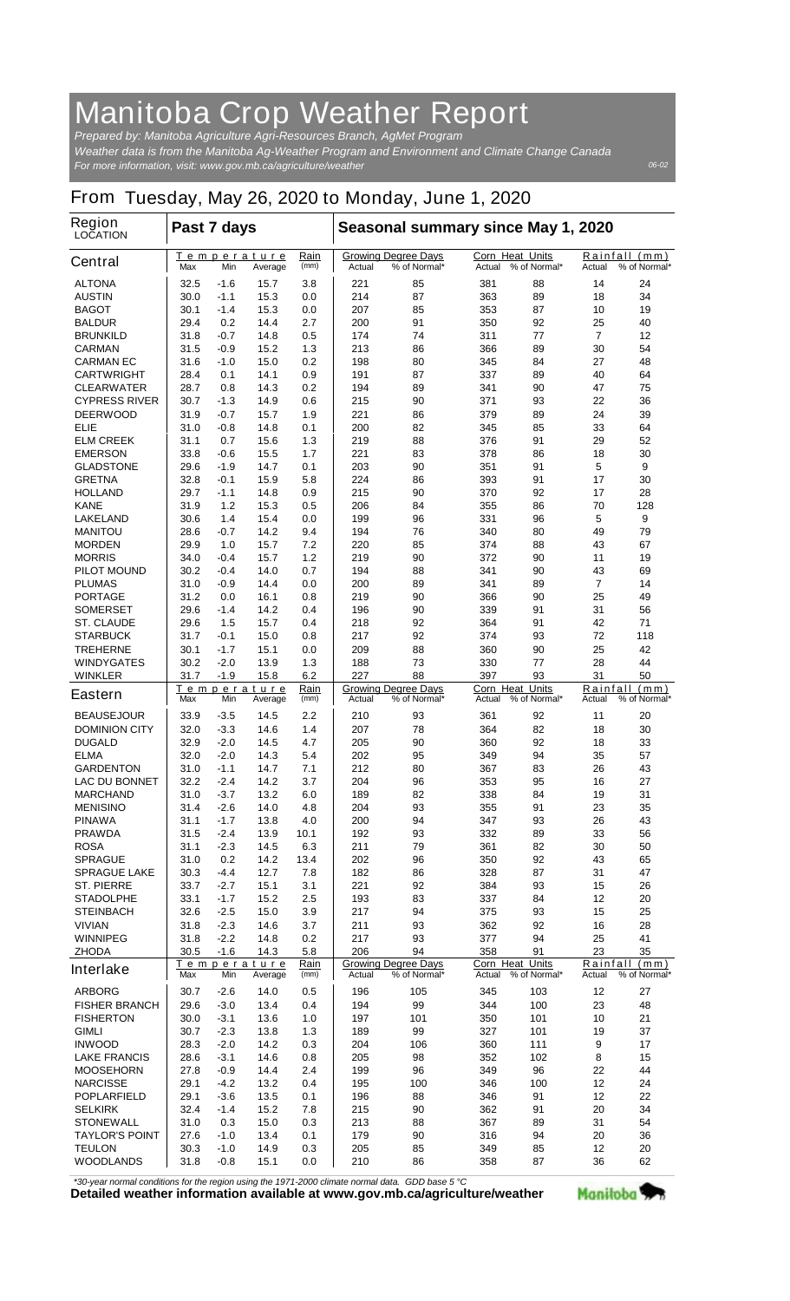## **Manitoba Crop Weather Report**

*For more information, visit: www.gov.mb.ca/agriculture/weather Prepared by: Manitoba Agriculture Agri-Resources Branch, AgMet Program Weather data is from the Manitoba Ag-Weather Program and Environment and Climate Change Canada*

*06-02*

## **From Tuesday, May 26, 2020 to Monday, June 1, 2020**

| <b>Region</b><br><b>LOCATION</b>       | Past 7 days                                          |                                                            |                                                      |                                                                   | Seasonal summary since May 1, 2020               |                                            |                                         |                                                        |                |                               |
|----------------------------------------|------------------------------------------------------|------------------------------------------------------------|------------------------------------------------------|-------------------------------------------------------------------|--------------------------------------------------|--------------------------------------------|-----------------------------------------|--------------------------------------------------------|----------------|-------------------------------|
| <b>Central</b>                         | Max                                                  | Min                                                        | Temperature<br>Average                               | Rain<br>(mm)                                                      | Actual                                           | <b>Growing Degree Days</b><br>% of Normal* | <b>Corn Heat Units</b><br>Actual        | % of Normal*                                           | Actual         | Rainfall (mm)<br>% of Normal* |
| <b>ALTONA</b>                          | 32.5                                                 | -1.6                                                       | 15.7                                                 | 3.8                                                               | 221                                              | 85                                         | 381                                     | 88                                                     | 14             | 24                            |
| <b>AUSTIN</b>                          | 30.0                                                 | $-1.1$                                                     | 15.3                                                 | 0.0                                                               | 214                                              | 87                                         | 363                                     | 89                                                     | 18             | 34                            |
| <b>BAGOT</b>                           | 30.1                                                 | $-1.4$                                                     | 15.3                                                 | 0.0                                                               | 207                                              | 85                                         | 353                                     | 87                                                     | 10             | 19                            |
| <b>BALDUR</b>                          | 29.4                                                 | 0.2                                                        | 14.4                                                 | 2.7                                                               | 200                                              | 91                                         | 350                                     | 92                                                     | 25             | 40                            |
| <b>BRUNKILD</b>                        | 31.8                                                 | -0.7                                                       | 14.8                                                 | 0.5                                                               | 174                                              | 74                                         | 311                                     | 77                                                     | $\overline{7}$ | 12                            |
| <b>CARMAN</b>                          | 31.5                                                 | -0.9                                                       | 15.2                                                 | 1.3                                                               | 213                                              | 86                                         | 366                                     | 89                                                     | 30             | 54                            |
| <b>CARMAN EC</b>                       | 31.6                                                 | -1.0                                                       | 15.0                                                 | 0.2                                                               | 198                                              | 80                                         | 345                                     | 84                                                     | 27             | 48                            |
| <b>CARTWRIGHT</b><br><b>CLEARWATER</b> | 28.4<br>28.7                                         | 0.1<br>0.8                                                 | 14.1<br>14.3                                         | 0.9<br>0.2                                                        | 191<br>194                                       | 87<br>89                                   | 337<br>341                              | 89<br>90                                               | 40<br>47       | 64<br>75                      |
| <b>CYPRESS RIVER</b>                   | 30.7                                                 | $-1.3$                                                     | 14.9                                                 | 0.6                                                               | 215                                              | 90                                         | 371                                     | 93                                                     | 22             | 36                            |
| <b>DEERWOOD</b>                        | 31.9                                                 | -0.7                                                       | 15.7                                                 | 1.9                                                               | 221                                              | 86                                         | 379                                     | 89                                                     | 24             | 39                            |
| <b>ELIE</b>                            | 31.0                                                 | -0.8                                                       | 14.8                                                 | 0.1                                                               | 200                                              | 82                                         | 345                                     | 85                                                     | 33             | 64                            |
| <b>ELM CREEK</b>                       | 31.1                                                 | 0.7                                                        | 15.6                                                 | 1.3                                                               | 219                                              | 88                                         | 376                                     | 91                                                     | 29             | 52                            |
| <b>EMERSON</b>                         | 33.8                                                 | -0.6                                                       | 15.5                                                 | 1.7                                                               | 221                                              | 83                                         | 378                                     | 86                                                     | 18             | 30                            |
| <b>GLADSTONE</b>                       | 29.6                                                 | -1.9                                                       | 14.7                                                 | 0.1                                                               | 203                                              | 90                                         | 351                                     | 91                                                     | 5              | 9                             |
| <b>GRETNA</b>                          | 32.8                                                 | -0.1                                                       | 15.9                                                 | 5.8                                                               | 224                                              | 86                                         | 393                                     | 91                                                     | 17             | 30                            |
| <b>HOLLAND</b>                         | 29.7                                                 | $-1.1$                                                     | 14.8                                                 | 0.9                                                               | 215                                              | 90                                         | 370                                     | 92                                                     | 17             | 28                            |
| <b>KANE</b>                            | 31.9                                                 | 1.2                                                        | 15.3                                                 | 0.5                                                               | 206                                              | 84                                         | 355                                     | 86                                                     | 70             | 128                           |
| <b>LAKELAND</b>                        | 30.6                                                 | 1.4                                                        | 15.4                                                 | 0.0                                                               | 199                                              | 96                                         | 331                                     | 96                                                     | 5              | 9                             |
| <b>MANITOU</b>                         | 28.6                                                 | -0.7                                                       | 14.2                                                 | 9.4                                                               | 194                                              | 76                                         | 340                                     | 80                                                     | 49             | 79                            |
| <b>MORDEN</b><br><b>MORRIS</b>         | 29.9                                                 | 1.0                                                        | 15.7                                                 | 7.2                                                               | 220                                              | 85                                         | 374                                     | 88                                                     | 43             | 67                            |
| <b>PILOT MOUND</b>                     | 34.0<br>30.2                                         | -0.4<br>-0.4                                               | 15.7<br>14.0                                         | 1.2<br>0.7                                                        | 219<br>194                                       | 90<br>88                                   | 372<br>341                              | 90<br>90                                               | 11<br>43       | 19<br>69                      |
| <b>PLUMAS</b>                          | 31.0                                                 | -0.9                                                       | 14.4                                                 | 0.0                                                               | 200                                              | 89                                         | 341                                     | 89                                                     | $\overline{7}$ | 14                            |
| <b>PORTAGE</b>                         | 31.2                                                 | 0.0                                                        | 16.1                                                 | 0.8                                                               | 219                                              | 90                                         | 366                                     | 90                                                     | 25             | 49                            |
| <b>SOMERSET</b>                        | 29.6                                                 | -1.4                                                       | 14.2                                                 | 0.4                                                               | 196                                              | 90                                         | 339                                     | 91                                                     | 31             | 56                            |
| <b>ST. CLAUDE</b>                      | 29.6                                                 | 1.5                                                        | 15.7                                                 | 0.4                                                               | 218                                              | 92                                         | 364                                     | 91                                                     | 42             | 71                            |
| <b>STARBUCK</b>                        | 31.7                                                 | -0.1                                                       | 15.0                                                 | 0.8                                                               | 217                                              | 92                                         | 374                                     | 93                                                     | 72             | 118                           |
| <b>TREHERNE</b>                        | 30.1                                                 | -1.7                                                       | 15.1                                                 | 0.0                                                               | 209                                              | 88                                         | 360                                     | 90                                                     | 25             | 42                            |
| <b>WINDYGATES</b>                      | 30.2                                                 | $-2.0$                                                     | 13.9                                                 | 1.3                                                               | 188                                              | 73                                         | 330                                     | 77                                                     | 28             | 44                            |
| <b>WINKLER</b>                         | 31.7                                                 | $-1.9$                                                     | 15.8                                                 | 6.2                                                               | 227                                              | 88                                         | 397                                     | 93                                                     | 31             | 50                            |
| <b>Eastern</b>                         | Temperature<br>Rain<br>Max<br>Min<br>(mm)<br>Average |                                                            | <b>Growing Degree Days</b><br>% of Normal*<br>Actual |                                                                   | <b>Corn Heat Units</b><br>Actual<br>% of Normal* |                                            | Rainfall (mm)<br>Actual<br>% of Normal* |                                                        |                |                               |
| <b>BEAUSEJOUR</b>                      | 33.9                                                 | -3.5                                                       | 14.5                                                 | 2.2                                                               | 210                                              | 93                                         | 361                                     | 92                                                     | 11             | 20                            |
| <b>DOMINION CITY</b>                   | 32.0                                                 | $-3.3$                                                     | 14.6                                                 | 1.4                                                               | 207                                              | 78                                         | 364                                     | 82                                                     | 18             | 30                            |
| <b>DUGALD</b>                          | 32.9                                                 | $-2.0$                                                     | 14.5                                                 | 4.7                                                               | 205                                              | 90                                         | 360                                     | 92                                                     | 18             | 33                            |
| <b>ELMA</b>                            | 32.0                                                 | $-2.0$                                                     | 14.3                                                 | 5.4                                                               | 202                                              | 95                                         | 349                                     | 94                                                     | 35             | 57                            |
| <b>GARDENTON</b>                       | 31.0                                                 | $-1.1$                                                     | 14.7                                                 | 7.1                                                               | 212                                              | 80                                         | 367                                     | 83                                                     | 26             | 43                            |
| <b>LAC DU BONNET</b>                   | 32.2                                                 | -2.4                                                       | 14.2                                                 | 3.7                                                               | 204                                              | 96                                         | 353                                     | 95                                                     | 16             | 27                            |
| <b>MARCHAND</b><br><b>MENISINO</b>     | 31.0<br>31.4                                         | -3.7<br>$-2.6$                                             | 13.2<br>14.0                                         | 6.0<br>4.8                                                        | 189<br>204                                       | 82<br>93                                   | 338<br>355                              | 84<br>91                                               | 19<br>23       | 31<br>35                      |
| <b>PINAWA</b>                          | 31.1                                                 | $-1.7$                                                     | 13.8                                                 | 4.0                                                               | 200                                              | 94                                         | 347                                     | 93                                                     | 26             | 43                            |
| <b>PRAWDA</b>                          | 31.5                                                 | -2.4                                                       | 13.9                                                 | 10.1                                                              | 192                                              | 93                                         | 332                                     | 89                                                     | 33             | 56                            |
| <b>ROSA</b>                            | 31.1                                                 | $-2.3$                                                     | 14.5                                                 | 6.3                                                               | 211                                              | 79                                         | 361                                     | 82                                                     | 30             | 50                            |
| <b>SPRAGUE</b>                         | 31.0                                                 | 0.2                                                        | 14.2                                                 | 13.4                                                              | 202                                              | 96                                         | 350                                     | 92                                                     | 43             | 65                            |
| <b>SPRAGUE LAKE</b>                    | 30.3                                                 | -4.4                                                       | 12.7                                                 | 7.8                                                               | 182                                              | 86                                         | 328                                     | 87                                                     | 31             | 47                            |
| <b>ST. PIERRE</b>                      | 33.7                                                 | -2.7                                                       | 15.1                                                 | 3.1                                                               | 221                                              | 92                                         | 384                                     | 93                                                     | 15             | 26                            |
| <b>STADOLPHE</b>                       | 33.1                                                 | $-1.7$                                                     | 15.2                                                 | 2.5                                                               | 193                                              | 83                                         | 337                                     | 84                                                     | 12             | 20                            |
| <b>STEINBACH</b>                       | 32.6                                                 | $-2.5$                                                     | 15.0                                                 | 3.9                                                               | 217                                              | 94                                         | 375                                     | 93                                                     | 15             | 25                            |
| <b>VIVIAN</b>                          | 31.8                                                 | $-2.3$                                                     | 14.6                                                 | 3.7                                                               | 211                                              | 93                                         | 362                                     | 92                                                     | 16             | 28                            |
| <b>WINNIPEG</b>                        | 31.8                                                 | $-2.2$                                                     | 14.8                                                 | 0.2                                                               | 217                                              | 93                                         | 377                                     | 94                                                     | 25             | 41                            |
| <b>ZHODA</b><br><b>Interlake</b>       |                                                      | 14.3<br>30.5<br>-1.6<br>5.8<br>Temperature<br>Rain<br>(mm) |                                                      | 206<br>94<br><b>Growing Degree Days</b><br>% of Normal*<br>Actual |                                                  | 358<br>Corn Heat Units<br>Actual           | 91<br>% of Normal*                      | 23<br>35<br>Rainfall<br>(mm)<br>% of Normal*<br>Actual |                |                               |
|                                        | Max                                                  | Min                                                        | Average                                              |                                                                   |                                                  |                                            |                                         |                                                        |                |                               |
| <b>ARBORG</b>                          | 30.7                                                 | $-2.6$                                                     | 14.0                                                 | 0.5                                                               | 196                                              | 105                                        | 345                                     | 103                                                    | 12             | 27                            |
| <b>FISHER BRANCH</b>                   | 29.6                                                 | $-3.0$                                                     | 13.4                                                 | 0.4                                                               | 194                                              | 99                                         | 344                                     | 100                                                    | 23             | 48                            |
| <b>FISHERTON</b><br><b>GIMLI</b>       | 30.0                                                 | $-3.1$                                                     | 13.6                                                 | 1.0                                                               | 197                                              | 101                                        | 350<br>327                              | 101                                                    | 10             | 21                            |
| <b>INWOOD</b>                          | 30.7<br>28.3                                         | $-2.3$<br>$-2.0$                                           | 13.8<br>14.2                                         | 1.3<br>0.3                                                        | 189<br>204                                       | 99<br>106                                  | 360                                     | 101<br>111                                             | 19<br>9        | 37<br>17                      |
| <b>LAKE FRANCIS</b>                    | 28.6                                                 | $-3.1$                                                     | 14.6                                                 | 0.8                                                               | 205                                              | 98                                         | 352                                     | 102                                                    | 8              | 15                            |
| <b>MOOSEHORN</b>                       | 27.8                                                 | -0.9                                                       | 14.4                                                 | 2.4                                                               | 199                                              | 96                                         | 349                                     | 96                                                     | 22             | 44                            |
| <b>NARCISSE</b>                        | 29.1                                                 | -4.2                                                       | 13.2                                                 | 0.4                                                               | 195                                              | 100                                        | 346                                     | 100                                                    | 12             | 24                            |
| <b>POPLARFIELD</b>                     | 29.1                                                 | -3.6                                                       | 13.5                                                 | 0.1                                                               | 196                                              | 88                                         | 346                                     | 91                                                     | 12             | 22                            |
| <b>SELKIRK</b>                         | 32.4                                                 | -1.4                                                       | 15.2                                                 | 7.8                                                               | 215                                              | 90                                         | 362                                     | 91                                                     | 20             | 34                            |
| <b>STONEWALL</b>                       | 31.0                                                 | 0.3                                                        | 15.0                                                 | 0.3                                                               | 213                                              | 88                                         | 367                                     | 89                                                     | 31             | 54                            |
| <b>TAYLOR'S POINT</b>                  | 27.6                                                 | $-1.0$                                                     | 13.4                                                 | 0.1                                                               | 179                                              | 90                                         | 316                                     | 94                                                     | 20             | 36                            |
| <b>TEULON</b>                          | 30.3                                                 | $-1.0$                                                     | 14.9                                                 | 0.3                                                               | 205                                              | 85                                         | 349                                     | 85                                                     | 12             | 20                            |
| <b>WOODLANDS</b>                       | 31.8                                                 | -0.8                                                       | 15.1                                                 | 0.0                                                               | 210                                              | 86                                         | 358                                     | 87                                                     | 36             | 62                            |

*\*30-year normal conditions for the region using the 1971-2000 climate normal data. GDD base 5 °C*<br>Detailed weather information available at www.gov.mb.ca/agriculture/weather